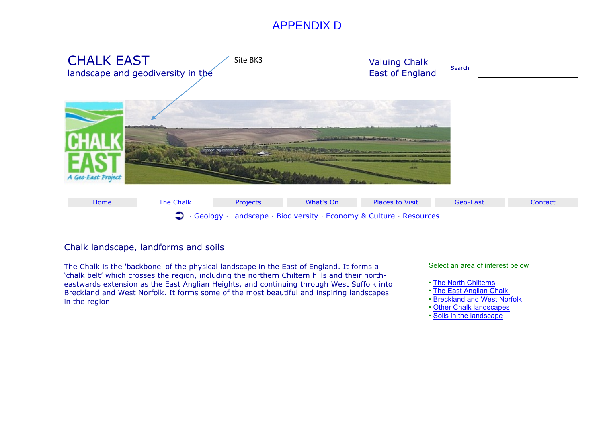# APPENDIX D



# Chalk landscape, landforms and soils

The Chalk is the 'backbone' of the physical landscape in the East of England. It forms a 'chalk belt' which crosses the region, including the northern Chiltern hills and their northeastwards extension as the East Anglian Heights, and continuing through West Suffolk into Breckland and West Norfolk. It forms some of the most beautiful and inspiring landscapes in the region

Select an area of interest below

- The North Chilterns
- The East Anglian Chalk
- Breckland and West Norfolk
- Other Chalk landscapes
- Soils in the landscape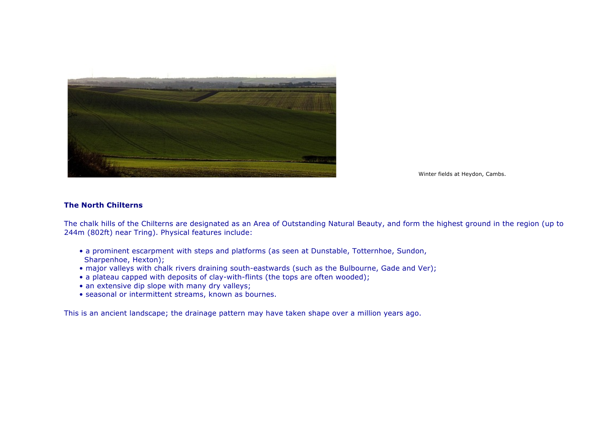

Winter fields at Heydon, Cambs.

# **The North Chilterns**

The chalk hills of the Chilterns are designated as an Area of Outstanding Natural Beauty, and form the highest ground in the region (up to 244m (802ft) near Tring). Physical features include:

- a prominent escarpment with steps and platforms (as seen at Dunstable, Totternhoe, Sundon, Sharpenhoe, Hexton);
- major valleys with chalk rivers draining south-eastwards (such as the Bulbourne, Gade and Ver);
- a plateau capped with deposits of clay-with-flints (the tops are often wooded);
- an extensive dip slope with many dry valleys;
- seasonal or intermittent streams, known as bournes.

This is an ancient landscape; the drainage pattern may have taken shape over a million years ago.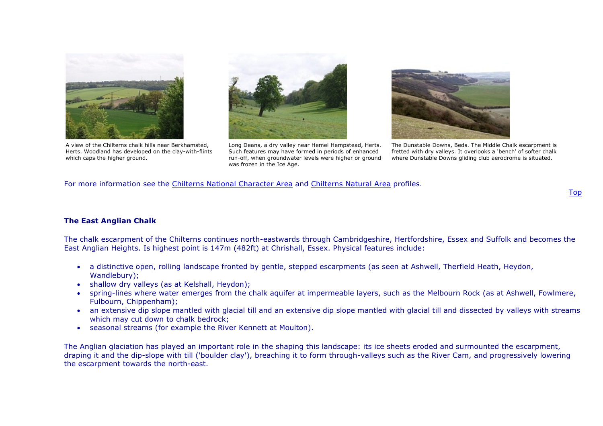

A view of the Chilterns chalk hills near Berkhamsted, Herts. Woodland has developed on the clay-with-flints which caps the higher ground.



Long Deans, a dry valley near Hemel Hempstead, Herts. Such features may have formed in periods of enhanced run-off, when groundwater levels were higher or ground was frozen in the Ice Age.



The Dunstable Downs, Beds. The Middle Chalk escarpment is fretted with dry valleys. It overlooks a 'bench' of softer chalk where Dunstable Downs gliding club aerodrome is situated.

For more information see the Chilterns National Character Area and Chilterns Natural Area profiles.

# **The East Anglian Chalk**

The chalk escarpment of the Chilterns continues north-eastwards through Cambridgeshire, Hertfordshire, Essex and Suffolk and becomes the East Anglian Heights. Is highest point is 147m (482ft) at Chrishall, Essex. Physical features include:

- a distinctive open, rolling landscape fronted by gentle, stepped escarpments (as seen at Ashwell, Therfield Heath, Heydon, Wandlebury);
- shallow dry valleys (as at Kelshall, Heydon);
- spring-lines where water emerges from the chalk aquifer at impermeable layers, such as the Melbourn Rock (as at Ashwell, Fowlmere, Fulbourn, Chippenham);
- an extensive dip slope mantled with glacial till and an extensive dip slope mantled with glacial till and dissected by valleys with streams which may cut down to chalk bedrock;
- seasonal streams (for example the River Kennett at Moulton).

The Anglian glaciation has played an important role in the shaping this landscape: its ice sheets eroded and surmounted the escarpment, draping it and the dip-slope with till ('boulder clay'), breaching it to form through-valleys such as the River Cam, and progressively lowering the escarpment towards the north-east.

#### Top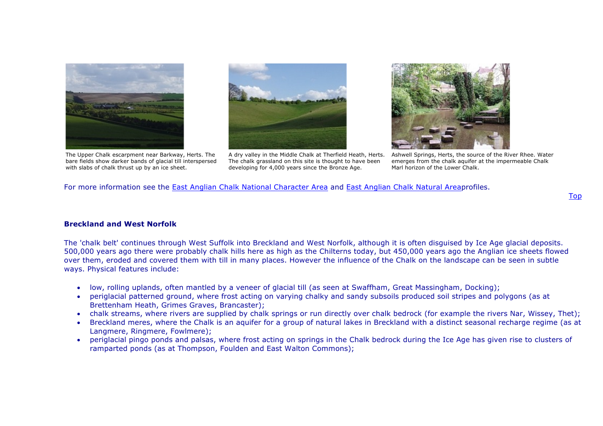



The Upper Chalk escarpment near Barkway, Herts. The bare fields show darker bands of glacial till interspersed with slabs of chalk thrust up by an ice sheet.

A dry valley in the Middle Chalk at Therfield Heath, Herts. The chalk grassland on this site is thought to have been developing for 4,000 years since the Bronze Age.



Ashwell Springs, Herts, the source of the River Rhee. Water emerges from the chalk aquifer at the impermeable Chalk Marl horizon of the Lower Chalk.

For more information see the East Anglian Chalk National Character Area and East Anglian Chalk Natural Areaprofiles.

# **Breckland and West Norfolk**

The 'chalk belt' continues through West Suffolk into Breckland and West Norfolk, although it is often disguised by Ice Age glacial deposits. 500,000 years ago there were probably chalk hills here as high as the Chilterns today, but 450,000 years ago the Anglian ice sheets flowed over them, eroded and covered them with till in many places. However the influence of the Chalk on the landscape can be seen in subtle ways. Physical features include:

- low, rolling uplands, often mantled by a veneer of glacial till (as seen at Swaffham, Great Massingham, Docking);
- periglacial patterned ground, where frost acting on varying chalky and sandy subsoils produced soil stripes and polygons (as at Brettenham Heath, Grimes Graves, Brancaster);
- chalk streams, where rivers are supplied by chalk springs or run directly over chalk bedrock (for example the rivers Nar, Wissey, Thet);
- Breckland meres, where the Chalk is an aquifer for a group of natural lakes in Breckland with a distinct seasonal recharge regime (as at Langmere, Ringmere, Fowlmere);
- periglacial pingo ponds and palsas, where frost acting on springs in the Chalk bedrock during the Ice Age has given rise to clusters of ramparted ponds (as at Thompson, Foulden and East Walton Commons);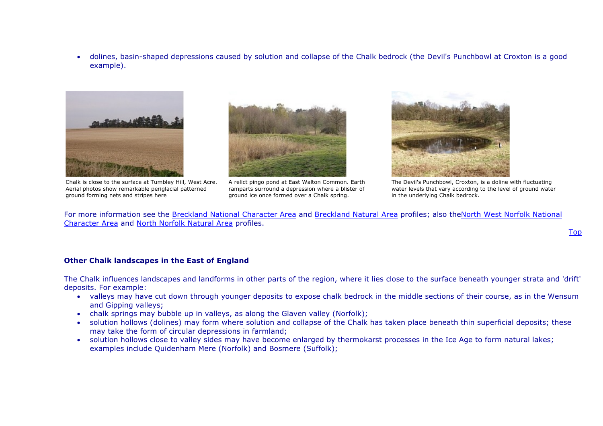• dolines, basin-shaped depressions caused by solution and collapse of the Chalk bedrock (the Devil's Punchbowl at Croxton is a good example).



Chalk is close to the surface at Tumbley Hill, West Acre. Aerial photos show remarkable periglacial patterned ground forming nets and stripes here



A relict pingo pond at East Walton Common. Earth ramparts surround a depression where a blister of ground ice once formed over a Chalk spring.



The Devil's Punchbowl, Croxton, is a doline with fluctuating water levels that vary according to the level of ground water in the underlying Chalk bedrock.

For more information see the Breckland National Character Area and Breckland Natural Area profiles; also theNorth West Norfolk National Character Area and North Norfolk Natural Area profiles.

#### Top

# **Other Chalk landscapes in the East of England**

The Chalk influences landscapes and landforms in other parts of the region, where it lies close to the surface beneath younger strata and 'drift' deposits. For example:

- valleys may have cut down through younger deposits to expose chalk bedrock in the middle sections of their course, as in the Wensum and Gipping valleys;
- chalk springs may bubble up in valleys, as along the Glaven valley (Norfolk);
- solution hollows (dolines) may form where solution and collapse of the Chalk has taken place beneath thin superficial deposits; these may take the form of circular depressions in farmland;
- solution hollows close to valley sides may have become enlarged by thermokarst processes in the Ice Age to form natural lakes; examples include Quidenham Mere (Norfolk) and Bosmere (Suffolk);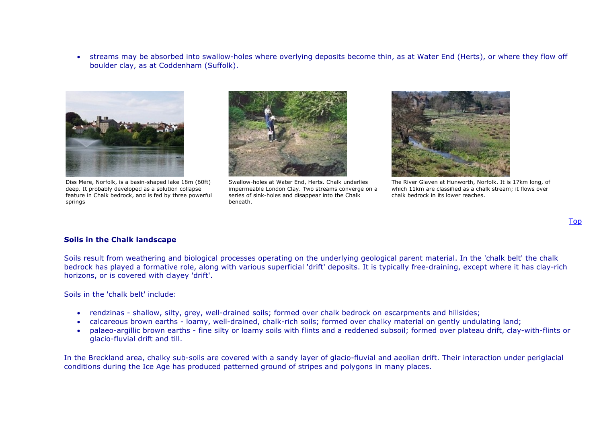• streams may be absorbed into swallow-holes where overlying deposits become thin, as at Water End (Herts), or where they flow off boulder clay, as at Coddenham (Suffolk).



Diss Mere, Norfolk, is a basin-shaped lake 18m (60ft) deep. It probably developed as a solution collapse feature in Chalk bedrock, and is fed by three powerful springs



Swallow-holes at Water End, Herts. Chalk underlies impermeable London Clay. Two streams converge on a series of sink-holes and disappear into the Chalk beneath.



The River Glaven at Hunworth, Norfolk. It is 17km long, of which 11km are classified as a chalk stream; it flows over chalk bedrock in its lower reaches.

#### **Soils in the Chalk landscape**

Soils result from weathering and biological processes operating on the underlying geological parent material. In the 'chalk belt' the chalk bedrock has played a formative role, along with various superficial 'drift' deposits. It is typically free-draining, except where it has clay-rich horizons, or is covered with clayey 'drift'.

Soils in the 'chalk belt' include:

- rendzinas shallow, silty, grey, well-drained soils; formed over chalk bedrock on escarpments and hillsides;
- calcareous brown earths loamy, well-drained, chalk-rich soils; formed over chalky material on gently undulating land;
- palaeo-argillic brown earths fine silty or loamy soils with flints and a reddened subsoil; formed over plateau drift, clay-with-flints or glacio-fluvial drift and till.

In the Breckland area, chalky sub-soils are covered with a sandy layer of glacio-fluvial and aeolian drift. Their interaction under periglacial conditions during the Ice Age has produced patterned ground of stripes and polygons in many places.